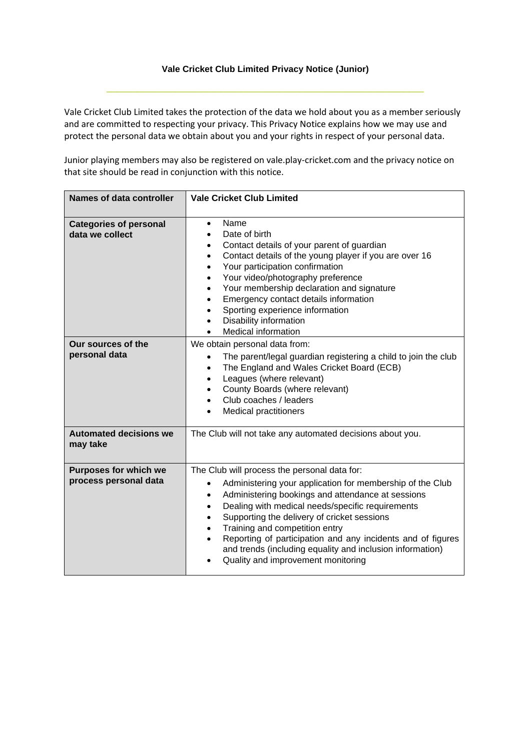## **Vale Cricket Club Limited Privacy Notice (Junior)**

 $\_$  ,  $\_$  ,  $\_$  ,  $\_$  ,  $\_$  ,  $\_$  ,  $\_$  ,  $\_$  ,  $\_$  ,  $\_$  ,  $\_$  ,  $\_$  ,  $\_$  ,  $\_$  ,  $\_$  ,  $\_$  ,  $\_$  ,  $\_$  ,  $\_$ 

Vale Cricket Club Limited takes the protection of the data we hold about you as a member seriously and are committed to respecting your privacy. This Privacy Notice explains how we may use and protect the personal data we obtain about you and your rights in respect of your personal data.

Junior playing members may also be registered on vale.play-cricket.com and the privacy notice on that site should be read in conjunction with this notice.

| <b>Names of data controller</b>                       | <b>Vale Cricket Club Limited</b>                                                                                                                                                                                                                                                                                                                                                                                                                                                                                                                    |
|-------------------------------------------------------|-----------------------------------------------------------------------------------------------------------------------------------------------------------------------------------------------------------------------------------------------------------------------------------------------------------------------------------------------------------------------------------------------------------------------------------------------------------------------------------------------------------------------------------------------------|
| <b>Categories of personal</b><br>data we collect      | Name<br>$\bullet$<br>Date of birth<br>$\bullet$<br>Contact details of your parent of guardian<br>$\bullet$<br>Contact details of the young player if you are over 16<br>$\bullet$<br>Your participation confirmation<br>$\bullet$<br>Your video/photography preference<br>$\bullet$<br>Your membership declaration and signature<br>$\bullet$<br>Emergency contact details information<br>$\bullet$<br>Sporting experience information<br>$\bullet$<br>Disability information<br>$\bullet$<br><b>Medical information</b><br>$\bullet$               |
| Our sources of the<br>personal data                   | We obtain personal data from:<br>The parent/legal guardian registering a child to join the club<br>$\bullet$<br>The England and Wales Cricket Board (ECB)<br>$\bullet$<br>Leagues (where relevant)<br>$\bullet$<br>County Boards (where relevant)<br>$\bullet$<br>Club coaches / leaders<br>Medical practitioners                                                                                                                                                                                                                                   |
| <b>Automated decisions we</b><br>may take             | The Club will not take any automated decisions about you.                                                                                                                                                                                                                                                                                                                                                                                                                                                                                           |
| <b>Purposes for which we</b><br>process personal data | The Club will process the personal data for:<br>Administering your application for membership of the Club<br>$\bullet$<br>Administering bookings and attendance at sessions<br>$\bullet$<br>Dealing with medical needs/specific requirements<br>$\bullet$<br>Supporting the delivery of cricket sessions<br>$\bullet$<br>Training and competition entry<br>$\bullet$<br>Reporting of participation and any incidents and of figures<br>$\bullet$<br>and trends (including equality and inclusion information)<br>Quality and improvement monitoring |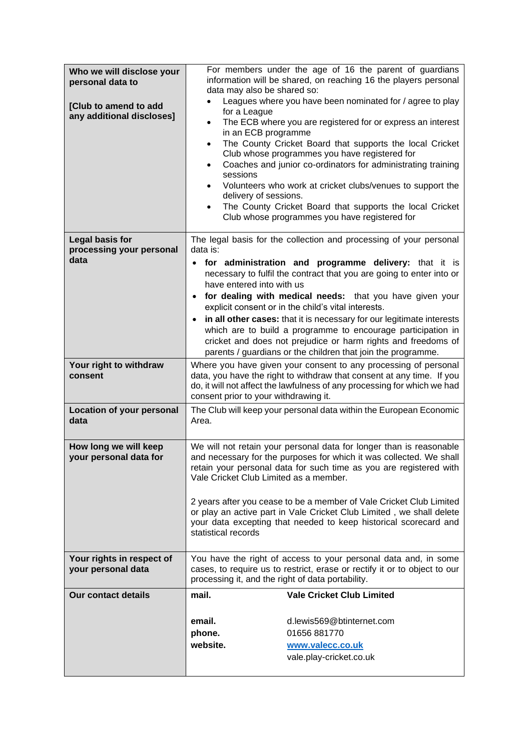| Who we will disclose your<br>personal data to<br>[Club to amend to add<br>any additional discloses] | For members under the age of 16 the parent of guardians<br>information will be shared, on reaching 16 the players personal<br>data may also be shared so:<br>Leagues where you have been nominated for / agree to play<br>for a League<br>The ECB where you are registered for or express an interest<br>$\bullet$<br>in an ECB programme<br>The County Cricket Board that supports the local Cricket<br>$\bullet$<br>Club whose programmes you have registered for<br>Coaches and junior co-ordinators for administrating training<br>sessions<br>Volunteers who work at cricket clubs/venues to support the<br>delivery of sessions.<br>The County Cricket Board that supports the local Cricket<br>Club whose programmes you have registered for |
|-----------------------------------------------------------------------------------------------------|-----------------------------------------------------------------------------------------------------------------------------------------------------------------------------------------------------------------------------------------------------------------------------------------------------------------------------------------------------------------------------------------------------------------------------------------------------------------------------------------------------------------------------------------------------------------------------------------------------------------------------------------------------------------------------------------------------------------------------------------------------|
| <b>Legal basis for</b><br>processing your personal<br>data                                          | The legal basis for the collection and processing of your personal<br>data is:<br>• for administration and programme delivery: that it is<br>necessary to fulfil the contract that you are going to enter into or<br>have entered into with us<br>for dealing with medical needs: that you have given your<br>$\bullet$<br>explicit consent or in the child's vital interests.<br>in all other cases: that it is necessary for our legitimate interests<br>which are to build a programme to encourage participation in<br>cricket and does not prejudice or harm rights and freedoms of<br>parents / guardians or the children that join the programme.                                                                                            |
| Your right to withdraw<br>consent                                                                   | Where you have given your consent to any processing of personal<br>data, you have the right to withdraw that consent at any time. If you<br>do, it will not affect the lawfulness of any processing for which we had<br>consent prior to your withdrawing it.                                                                                                                                                                                                                                                                                                                                                                                                                                                                                       |
| <b>Location of your personal</b><br>data                                                            | The Club will keep your personal data within the European Economic<br>Area.                                                                                                                                                                                                                                                                                                                                                                                                                                                                                                                                                                                                                                                                         |
| How long we will keep<br>your personal data for                                                     | We will not retain your personal data for longer than is reasonable<br>and necessary for the purposes for which it was collected. We shall<br>retain your personal data for such time as you are registered with<br>Vale Cricket Club Limited as a member.<br>2 years after you cease to be a member of Vale Cricket Club Limited<br>or play an active part in Vale Cricket Club Limited, we shall delete<br>your data excepting that needed to keep historical scorecard and<br>statistical records                                                                                                                                                                                                                                                |
| Your rights in respect of<br>your personal data                                                     | You have the right of access to your personal data and, in some<br>cases, to require us to restrict, erase or rectify it or to object to our<br>processing it, and the right of data portability.                                                                                                                                                                                                                                                                                                                                                                                                                                                                                                                                                   |
| <b>Our contact details</b>                                                                          | <b>Vale Cricket Club Limited</b><br>mail.<br>d.lewis569@btinternet.com<br>email.<br>phone.<br>01656 881770<br>website.<br>www.valecc.co.uk<br>vale.play-cricket.co.uk                                                                                                                                                                                                                                                                                                                                                                                                                                                                                                                                                                               |